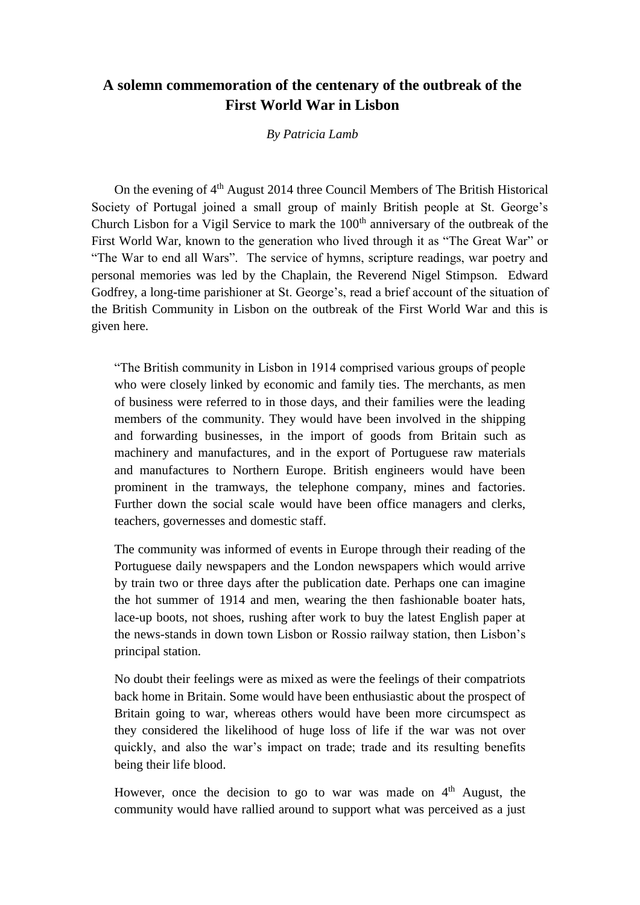## **A solemn commemoration of the centenary of the outbreak of the First World War in Lisbon**

## *By Patricia Lamb*

On the evening of  $4<sup>th</sup>$  August 2014 three Council Members of The British Historical Society of Portugal joined a small group of mainly British people at St. George's Church Lisbon for a Vigil Service to mark the  $100<sup>th</sup>$  anniversary of the outbreak of the First World War, known to the generation who lived through it as "The Great War" or "The War to end all Wars". The service of hymns, scripture readings, war poetry and personal memories was led by the Chaplain, the Reverend Nigel Stimpson. Edward Godfrey, a long-time parishioner at St. George's, read a brief account of the situation of the British Community in Lisbon on the outbreak of the First World War and this is given here.

"The British community in Lisbon in 1914 comprised various groups of people who were closely linked by economic and family ties. The merchants, as men of business were referred to in those days, and their families were the leading members of the community. They would have been involved in the shipping and forwarding businesses, in the import of goods from Britain such as machinery and manufactures, and in the export of Portuguese raw materials and manufactures to Northern Europe. British engineers would have been prominent in the tramways, the telephone company, mines and factories. Further down the social scale would have been office managers and clerks, teachers, governesses and domestic staff.

The community was informed of events in Europe through their reading of the Portuguese daily newspapers and the London newspapers which would arrive by train two or three days after the publication date. Perhaps one can imagine the hot summer of 1914 and men, wearing the then fashionable boater hats, lace-up boots, not shoes, rushing after work to buy the latest English paper at the news-stands in down town Lisbon or Rossio railway station, then Lisbon's principal station.

No doubt their feelings were as mixed as were the feelings of their compatriots back home in Britain. Some would have been enthusiastic about the prospect of Britain going to war, whereas others would have been more circumspect as they considered the likelihood of huge loss of life if the war was not over quickly, and also the war's impact on trade; trade and its resulting benefits being their life blood.

However, once the decision to go to war was made on  $4<sup>th</sup>$  August, the community would have rallied around to support what was perceived as a just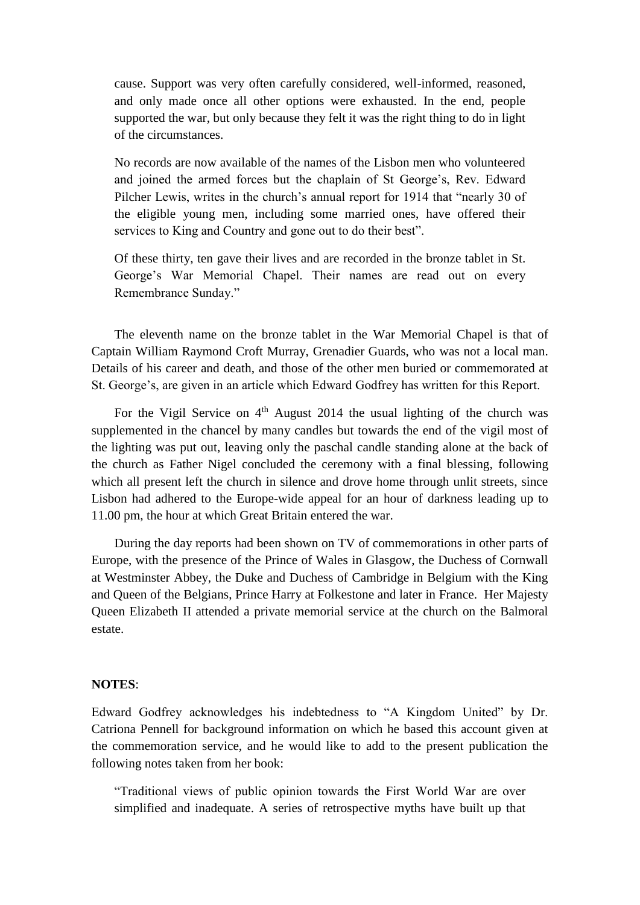cause. Support was very often carefully considered, well-informed, reasoned, and only made once all other options were exhausted. In the end, people supported the war, but only because they felt it was the right thing to do in light of the circumstances.

No records are now available of the names of the Lisbon men who volunteered and joined the armed forces but the chaplain of St George's, Rev. Edward Pilcher Lewis, writes in the church's annual report for 1914 that "nearly 30 of the eligible young men, including some married ones, have offered their services to King and Country and gone out to do their best".

Of these thirty, ten gave their lives and are recorded in the bronze tablet in St. George's War Memorial Chapel. Their names are read out on every Remembrance Sunday."

The eleventh name on the bronze tablet in the War Memorial Chapel is that of Captain William Raymond Croft Murray, Grenadier Guards, who was not a local man. Details of his career and death, and those of the other men buried or commemorated at St. George's, are given in an article which Edward Godfrey has written for this Report.

For the Vigil Service on  $4<sup>th</sup>$  August 2014 the usual lighting of the church was supplemented in the chancel by many candles but towards the end of the vigil most of the lighting was put out, leaving only the paschal candle standing alone at the back of the church as Father Nigel concluded the ceremony with a final blessing, following which all present left the church in silence and drove home through unlit streets, since Lisbon had adhered to the Europe-wide appeal for an hour of darkness leading up to 11.00 pm, the hour at which Great Britain entered the war.

During the day reports had been shown on TV of commemorations in other parts of Europe, with the presence of the Prince of Wales in Glasgow, the Duchess of Cornwall at Westminster Abbey, the Duke and Duchess of Cambridge in Belgium with the King and Queen of the Belgians, Prince Harry at Folkestone and later in France. Her Majesty Queen Elizabeth II attended a private memorial service at the church on the Balmoral estate.

## **NOTES**:

Edward Godfrey acknowledges his indebtedness to "A Kingdom United" by Dr. Catriona Pennell for background information on which he based this account given at the commemoration service, and he would like to add to the present publication the following notes taken from her book:

"Traditional views of public opinion towards the First World War are over simplified and inadequate. A series of retrospective myths have built up that